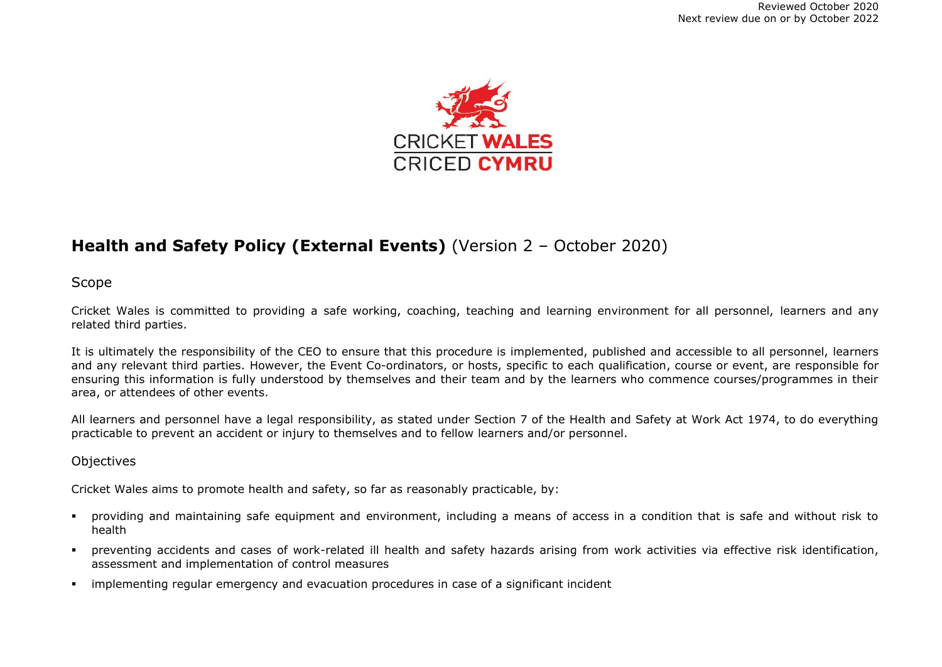

# **Health and Safety Policy (External Events)** (Version 2 – October 2020)

Scope

Cricket Wales is committed to providing a safe working, coaching, teaching and learning environment for all personnel, learners and any related third parties.

It is ultimately the responsibility of the CEO to ensure that this procedure is implemented, published and accessible to all personnel, learners and any relevant third parties. However, the Event Co-ordinators, or hosts, specific to each qualification, course or event, are responsible for ensuring this information is fully understood by themselves and their team and by the learners who commence courses/programmes in their area, or attendees of other events.

All learners and personnel have a legal responsibility, as stated under Section 7 of the Health and Safety at Work Act 1974, to do everything practicable to prevent an accident or injury to themselves and to fellow learners and/or personnel.

### **Objectives**

Cricket Wales aims to promote health and safety, so far as reasonably practicable, by:

- providing and maintaining safe equipment and environment, including a means of access in a condition that is safe and without risk to health
- preventing accidents and cases of work-related ill health and safety hazards arising from work activities via effective risk identification, assessment and implementation of control measures
- **•** implementing regular emergency and evacuation procedures in case of a significant incident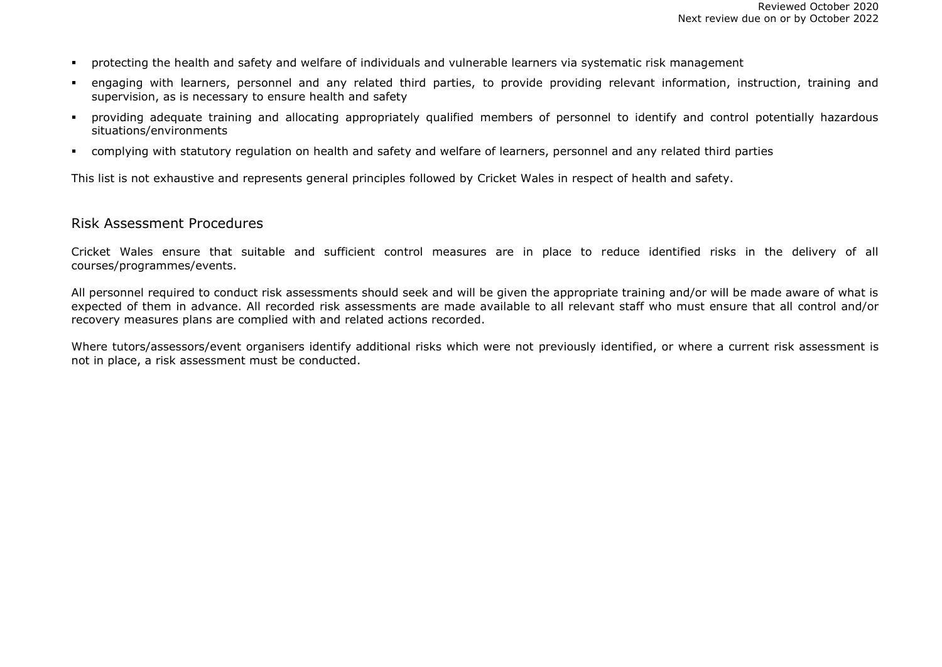- protecting the health and safety and welfare of individuals and vulnerable learners via systematic risk management
- engaging with learners, personnel and any related third parties, to provide providing relevant information, instruction, training and supervision, as is necessary to ensure health and safety
- providing adequate training and allocating appropriately qualified members of personnel to identify and control potentially hazardous situations/environments
- complying with statutory regulation on health and safety and welfare of learners, personnel and any related third parties

This list is not exhaustive and represents general principles followed by Cricket Wales in respect of health and safety.

#### Risk Assessment Procedures

Cricket Wales ensure that suitable and sufficient control measures are in place to reduce identified risks in the delivery of all courses/programmes/events.

All personnel required to conduct risk assessments should seek and will be given the appropriate training and/or will be made aware of what is expected of them in advance. All recorded risk assessments are made available to all relevant staff who must ensure that all control and/or recovery measures plans are complied with and related actions recorded.

Where tutors/assessors/event organisers identify additional risks which were not previously identified, or where a current risk assessment is not in place, a risk assessment must be conducted.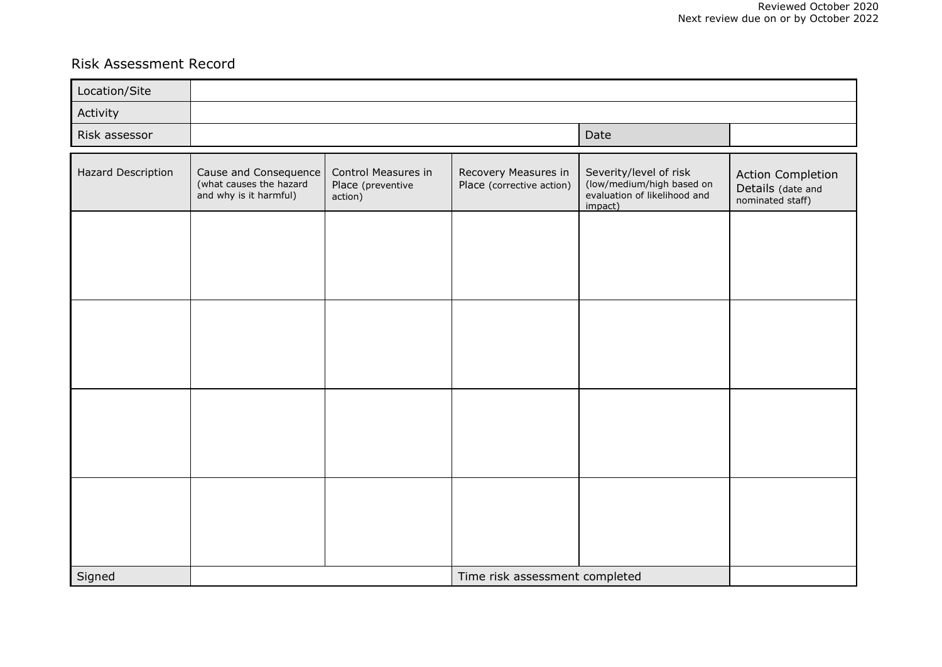## Risk Assessment Record

| Location/Site      |                                                                            |                                                     |                                                   |                                                                                                |                                                                   |
|--------------------|----------------------------------------------------------------------------|-----------------------------------------------------|---------------------------------------------------|------------------------------------------------------------------------------------------------|-------------------------------------------------------------------|
| Activity           |                                                                            |                                                     |                                                   |                                                                                                |                                                                   |
| Risk assessor      |                                                                            |                                                     | Date                                              |                                                                                                |                                                                   |
| Hazard Description | Cause and Consequence<br>(what causes the hazard<br>and why is it harmful) | Control Measures in<br>Place (preventive<br>action) | Recovery Measures in<br>Place (corrective action) | Severity/level of risk<br>(low/medium/high based on<br>evaluation of likelihood and<br>impact) | <b>Action Completion</b><br>Details (date and<br>nominated staff) |
|                    |                                                                            |                                                     |                                                   |                                                                                                |                                                                   |
|                    |                                                                            |                                                     |                                                   |                                                                                                |                                                                   |
|                    |                                                                            |                                                     |                                                   |                                                                                                |                                                                   |
|                    |                                                                            |                                                     |                                                   |                                                                                                |                                                                   |
|                    |                                                                            |                                                     |                                                   |                                                                                                |                                                                   |
| Signed             |                                                                            |                                                     | Time risk assessment completed                    |                                                                                                |                                                                   |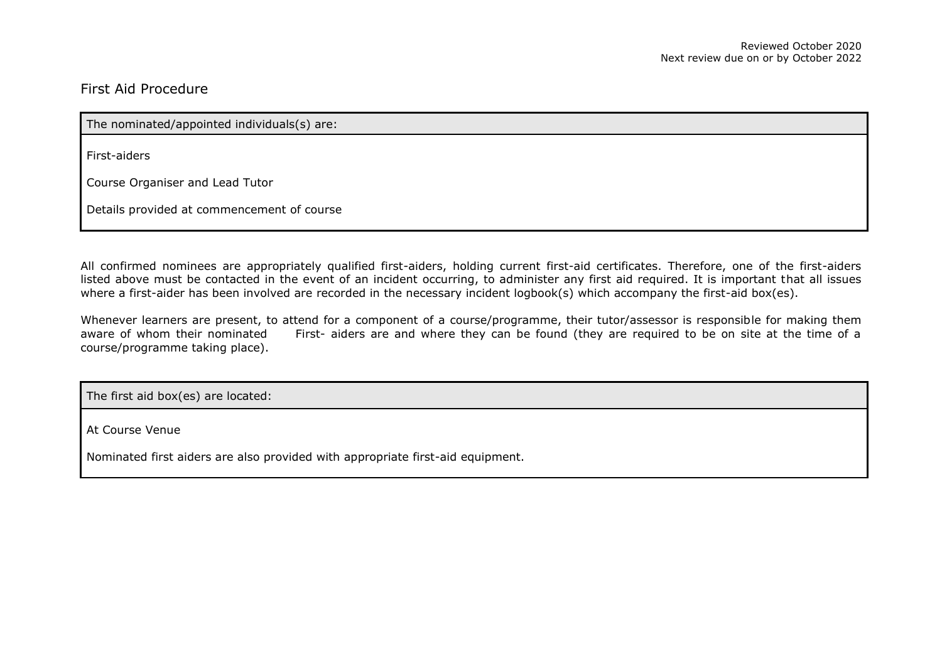## First Aid Procedure

The nominated/appointed individuals(s) are:

First-aiders

Course Organiser and Lead Tutor

Details provided at commencement of course

All confirmed nominees are appropriately qualified first-aiders, holding current first-aid certificates. Therefore, one of the first-aiders listed above must be contacted in the event of an incident occurring, to administer any first aid required. It is important that all issues where a first-aider has been involved are recorded in the necessary incident logbook(s) which accompany the first-aid box(es).

Whenever learners are present, to attend for a component of a course/programme, their tutor/assessor is responsible for making them aware of whom their nominated First- aiders are and where they can be found (they are required to be on site at the time of a course/programme taking place).

The first aid box(es) are located:

At Course Venue

Nominated first aiders are also provided with appropriate first-aid equipment.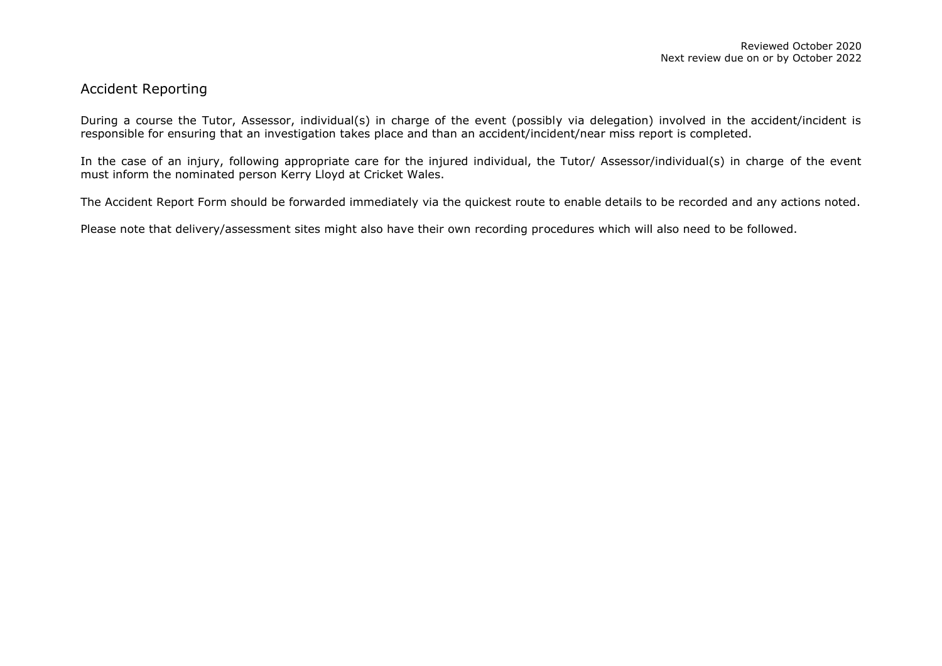### Accident Reporting

During a course the Tutor, Assessor, individual(s) in charge of the event (possibly via delegation) involved in the accident/incident is responsible for ensuring that an investigation takes place and than an accident/incident/near miss report is completed.

In the case of an injury, following appropriate care for the injured individual, the Tutor/ Assessor/individual(s) in charge of the event must inform the nominated person Kerry Lloyd at Cricket Wales.

The Accident Report Form should be forwarded immediately via the quickest route to enable details to be recorded and any actions noted.

Please note that delivery/assessment sites might also have their own recording procedures which will also need to be followed.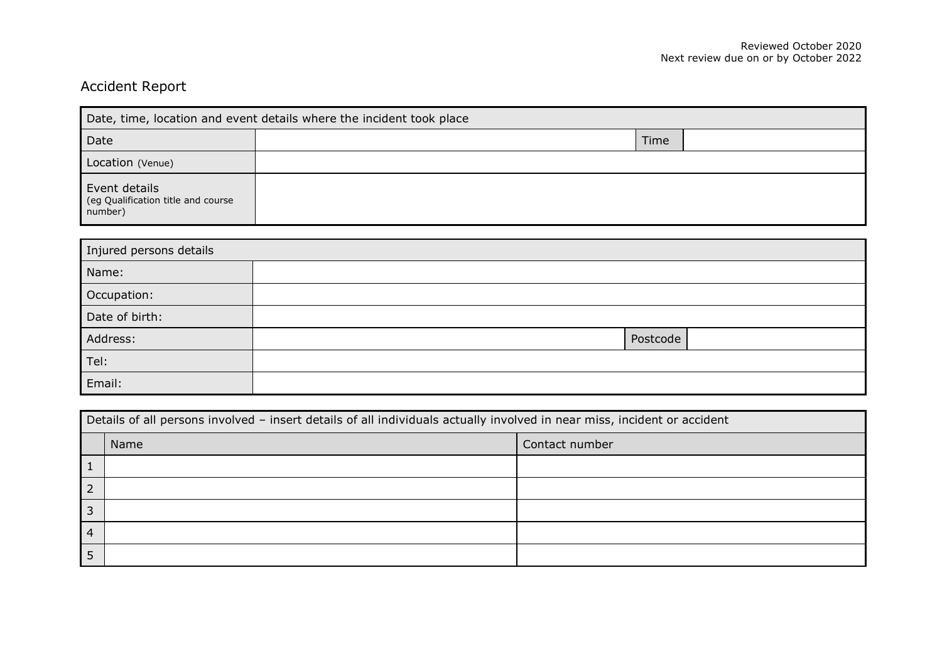# Accident Report

| Date, time, location and event details where the incident took place |      |  |  |  |
|----------------------------------------------------------------------|------|--|--|--|
| Date                                                                 | Time |  |  |  |
| Location (Venue)                                                     |      |  |  |  |
| Event details<br>(eg Qualification title and course<br>number)       |      |  |  |  |

| Injured persons details |          |  |  |
|-------------------------|----------|--|--|
| Name:                   |          |  |  |
| Occupation:             |          |  |  |
| Date of birth:          |          |  |  |
| Address:                | Postcode |  |  |
| Tel:                    |          |  |  |
| Email:                  |          |  |  |

| Details of all persons involved - insert details of all individuals actually involved in near miss, incident or accident |      |                |  |
|--------------------------------------------------------------------------------------------------------------------------|------|----------------|--|
|                                                                                                                          | Name | Contact number |  |
| $\mathbf{1}$                                                                                                             |      |                |  |
| $\vert$ 2                                                                                                                |      |                |  |
| $\overline{3}$                                                                                                           |      |                |  |
| $\overline{4}$                                                                                                           |      |                |  |
| $\overline{1}$                                                                                                           |      |                |  |